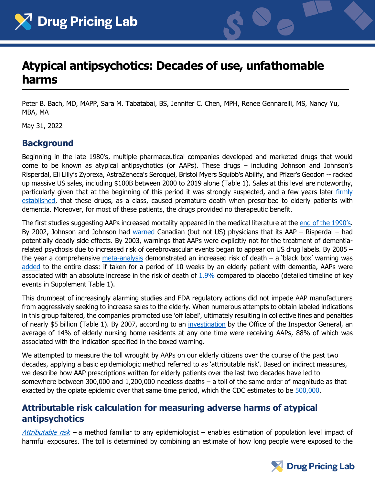



# **Atypical antipsychotics: Decades of use, unfathomable harms**

Peter B. Bach, MD, MAPP, Sara M. Tabatabai, BS, Jennifer C. Chen, MPH, Renee Gennarelli, MS, Nancy Yu, MBA, MA

May 31, 2022

### **Background**

Beginning in the late 1980's, multiple pharmaceutical companies developed and marketed drugs that would come to be known as atypical antipsychotics (or AAPs). These drugs – including Johnson and Johnson's Risperdal, Eli Lilly's Zyprexa, AstraZeneca's Seroquel, Bristol Myers Squibb's Abilify, and Pfizer's Geodon -- racked up massive US sales, including \$100B between 2000 to 2019 alone (Table 1). Sales at this level are noteworthy, particularly given that at the beginning of this period it was strongly suspected, and a few years later [firmly](https://jamanetwork.com/journals/jama/article-abstract/201714)  [established,](https://jamanetwork.com/journals/jama/article-abstract/201714) that these drugs, as a class, caused premature death when prescribed to elderly patients with dementia. Moreover, for most of these patients, the drugs provided no therapeutic benefit.

The first studies suggesting AAPs increased mortality appeared in the medical literature at the [end of the 1990's](https://jamanetwork.com/journals/jama/article-abstract/201714). By 2002, Johnson and Johnson had [warned](https://recalls-rappels.canada.ca/en/alert-recall/archived-updated-safety-information-risperdal-risperidone-elderly-dementia-patients) Canadian (but not US) physicians that its AAP – Risperdal – had potentially deadly side effects. By 2003, warnings that AAPs were explicitly not for the treatment of dementiarelated psychosis due to increased risk of cerebrovascular events began to appear on US drug labels. By 2005 – the year a comprehensive [meta-analysis](https://jamanetwork.com/journals/jama/article-abstract/201714) demonstrated an increased risk of death  $-$  a 'black box' warning was [added](https://wayback.archive-it.org/7993/20170113112252/http:/www.fda.gov/Drugs/DrugSafety/PostmarketDrugSafetyInformationforPatientsandProviders/ucm053171.htm) to the entire class: if taken for a period of 10 weeks by an elderly patient with dementia, AAPs were associated with an absolute increase in the risk of death of [1.9%](https://www.accessdata.fda.gov/drugsatfda_docs/label/2005/020272s042,020588s030,021444s016,021346s010lbl.pdf) compared to placebo (detailed timeline of key events in Supplement Table 1).

This drumbeat of increasingly alarming studies and FDA regulatory actions did not impede AAP manufacturers from aggressively seeking to increase sales to the elderly. When numerous attempts to obtain labeled indications in this group faltered, the companies promoted use 'off label', ultimately resulting in collective fines and penalties of nearly \$5 billion (Table 1). By 2007, according to an [investigation](https://oig.hhs.gov/oei/reports/oei-07-08-00150.asp) by the Office of the Inspector General, an average of 14% of elderly nursing home residents at any one time were receiving AAPs, 88% of which was associated with the indication specified in the boxed warning.

We attempted to measure the toll wrought by AAPs on our elderly citizens over the course of the past two decades, applying a basic epidemiologic method referred to as 'attributable risk'. Based on indirect measures, we describe how AAP prescriptions written for elderly patients over the last two decades have led to somewhere between 300,000 and 1,200,000 needless deaths – a toll of the same order of magnitude as that exacted by the opiate epidemic over that same time period, which the CDC estimates to be [500,000.](https://www.cdc.gov/drugoverdose/epidemic/index.html)

### **Attributable risk calculation for measuring adverse harms of atypical antipsychotics**

[Attributable risk](https://www.bmj.com/about-bmj/resources-readers/publications/epidemiology-uninitiated/3-comparing-disease-rates) – a method familiar to any epidemiologist – enables estimation of population level impact of harmful exposures. The toll is determined by combining an estimate of how long people were exposed to the

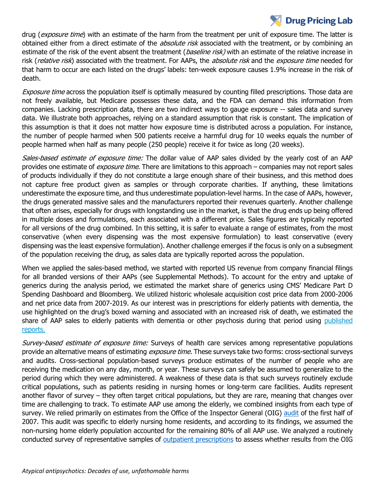## **Drug Pricing Lab**

drug (exposure time) with an estimate of the harm from the treatment per unit of exposure time. The latter is obtained either from a direct estimate of the *absolute risk* associated with the treatment, or by combining an estimate of the risk of the event absent the treatment (*baseline risk*) with an estimate of the relative increase in risk (relative risk) associated with the treatment. For AAPs, the absolute risk and the exposure time needed for that harm to occur are each listed on the drugs' labels: ten-week exposure causes 1.9% increase in the risk of death.

Exposure time across the population itself is optimally measured by counting filled prescriptions. Those data are not freely available, but Medicare possesses these data, and the FDA can demand this information from companies. Lacking prescription data, there are two indirect ways to gauge exposure -- sales data and survey data. We illustrate both approaches, relying on a standard assumption that risk is constant. The implication of this assumption is that it does not matter how exposure time is distributed across a population. For instance, the number of people harmed when 500 patients receive a harmful drug for 10 weeks equals the number of people harmed when half as many people (250 people) receive it for twice as long (20 weeks).

Sales-based estimate of exposure time: The dollar value of AAP sales divided by the yearly cost of an AAP provides one estimate of *exposure time*. There are limitations to this approach – companies may not report sales of products individually if they do not constitute a large enough share of their business, and this method does not capture free product given as samples or through corporate charities. If anything, these limitations underestimate the exposure time, and thus underestimate population-level harms. In the case of AAPs, however, the drugs generated massive sales and the manufacturers reported their revenues quarterly. Another challenge that often arises, especially for drugs with longstanding use in the market, is that the drug ends up being offered in multiple doses and formulations, each associated with a different price. Sales figures are typically reported for all versions of the drug combined. In this setting, it is safer to evaluate a range of estimates, from the most conservative (when every dispensing was the most expensive formulation) to least conservative (every dispensing was the least expensive formulation). Another challenge emerges if the focus is only on a subsegment of the population receiving the drug, as sales data are typically reported across the population.

When we applied the sales-based method, we started with reported US revenue from company financial filings for all branded versions of their AAPs (see Supplemental Methods). To account for the entry and uptake of generics during the analysis period, we estimated the market share of generics using CMS' Medicare Part D Spending Dashboard and Bloomberg. We utilized historic wholesale acquisition cost price data from 2000-2006 and net price data from 2007-2019. As our interest was in prescriptions for elderly patients with dementia, the use highlighted on the drug's boxed warning and associated with an increased risk of death, we estimated the share of AAP sales to elderly patients with dementia or other psychosis during that period using [published](https://www.ncbi.nlm.nih.gov/pmc/articles/PMC2695730/)  [reports.](https://www.ncbi.nlm.nih.gov/pmc/articles/PMC2695730/)

Survey-based estimate of exposure time: Surveys of health care services among representative populations provide an alternative means of estimating *exposure time.* These surveys take two forms: cross-sectional surveys and audits. Cross-sectional population-based surveys produce estimates of the number of people who are receiving the medication on any day, month, or year. These surveys can safely be assumed to generalize to the period during which they were administered. A weakness of these data is that such surveys routinely exclude critical populations, such as patients residing in nursing homes or long-term care facilities. Audits represent another flavor of survey – they often target critical populations, but they are rare, meaning that changes over time are challenging to track. To estimate AAP use among the elderly, we combined insights from each type of survey. We relied primarily on estimates from the Office of the Inspector General (OIG) [audit](https://oig.hhs.gov/oei/reports/oei-07-08-00150.pdf) of the first half of 2007. This audit was specific to elderly nursing home residents, and according to its findings, we assumed the non-nursing home elderly population accounted for the remaining 80% of all AAP use. We analyzed a routinely conducted survey of representative samples of [outpatient prescriptions](https://meps.ahrq.gov/survey_comp/household.jsp) to assess whether results from the OIG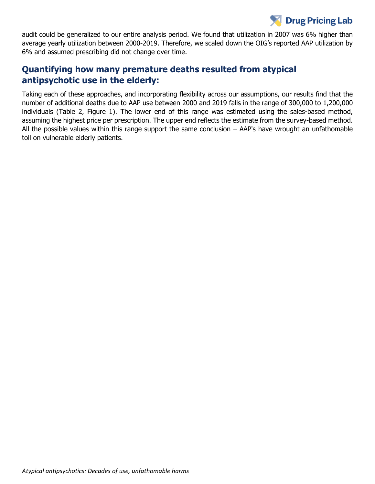## **Drug Pricing Lab**

audit could be generalized to our entire analysis period. We found that utilization in 2007 was 6% higher than average yearly utilization between 2000-2019. Therefore, we scaled down the OIG's reported AAP utilization by 6% and assumed prescribing did not change over time.

### **Quantifying how many premature deaths resulted from atypical antipsychotic use in the elderly:**

Taking each of these approaches, and incorporating flexibility across our assumptions, our results find that the number of additional deaths due to AAP use between 2000 and 2019 falls in the range of 300,000 to 1,200,000 individuals (Table 2, Figure 1). The lower end of this range was estimated using the sales-based method, assuming the highest price per prescription. The upper end reflects the estimate from the survey-based method. All the possible values within this range support the same conclusion – AAP's have wrought an unfathomable toll on vulnerable elderly patients.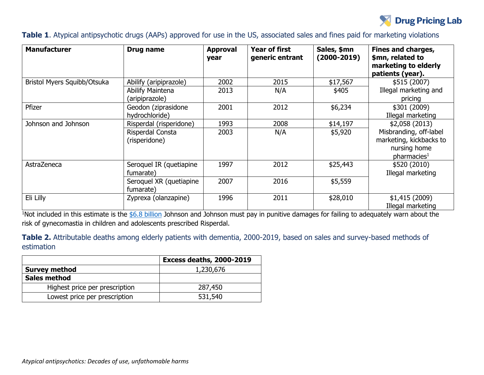

#### **Table 1**. Atypical antipsychotic drugs (AAPs) approved for use in the US, associated sales and fines paid for marketing violations

| <b>Manufacturer</b>         | Drug name                             | <b>Approval</b><br>year | <b>Year of first</b><br>generic entrant | Sales, \$mn<br>$(2000 - 2019)$ | <b>Fines and charges,</b><br>\$mn, related to<br>marketing to elderly<br>patients (year).    |
|-----------------------------|---------------------------------------|-------------------------|-----------------------------------------|--------------------------------|----------------------------------------------------------------------------------------------|
| Bristol Myers Squibb/Otsuka | Abilify (aripiprazole)                | 2002                    | 2015                                    | \$17,567                       | \$515(2007)                                                                                  |
|                             | Abilify Maintena<br>(aripiprazole)    | 2013                    | N/A                                     | \$405                          | Illegal marketing and<br>pricing                                                             |
| Pfizer                      | Geodon (ziprasidone<br>hydrochloride) | 2001                    | 2012                                    | \$6,234                        | \$301 (2009)<br>Illegal marketing                                                            |
| Johnson and Johnson         | Risperdal (risperidone)               | 1993                    | 2008                                    | \$14,197                       | \$2,058(2013)                                                                                |
|                             | Risperdal Consta<br>(risperidone)     | 2003                    | N/A                                     | \$5,920                        | Misbranding, off-label<br>marketing, kickbacks to<br>nursing home<br>pharmacies <sup>1</sup> |
| AstraZeneca                 | Seroquel IR (quetiapine<br>fumarate)  | 1997                    | 2012                                    | \$25,443                       | \$520 (2010)<br>Illegal marketing                                                            |
|                             | Seroquel XR (quetiapine<br>fumarate)  | 2007                    | 2016                                    | \$5,559                        |                                                                                              |
| Eli Lilly                   | Zyprexa (olanzapine)                  | 1996                    | 2011                                    | \$28,010                       | \$1,415(2009)<br>Illegal marketing                                                           |

<sup>1</sup>Not included in this estimate is the  $$6.8$  billion Johnson and Johnson must pay in punitive damages for failing to adequately warn about the risk of gynecomastia in children and adolescents prescribed Risperdal.

**Table 2.** Attributable deaths among elderly patients with dementia, 2000-2019, based on sales and survey-based methods of estimation

|                                | <b>Excess deaths, 2000-2019</b> |
|--------------------------------|---------------------------------|
| <b>Survey method</b>           | 1,230,676                       |
| <b>Sales method</b>            |                                 |
| Highest price per prescription | 287,450                         |
| Lowest price per prescription  | 531,540                         |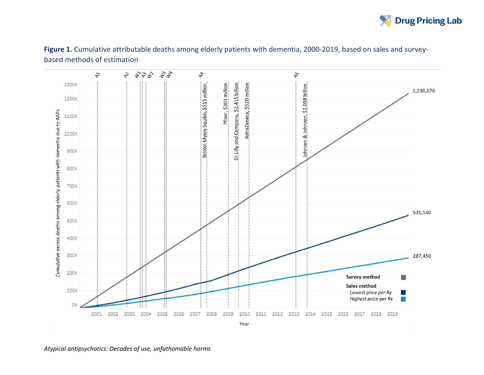

**Figure 1.** Cumulative attributable deaths among elderly patients with dementia, 2000-2019, based on sales and surveybased methods of estimation

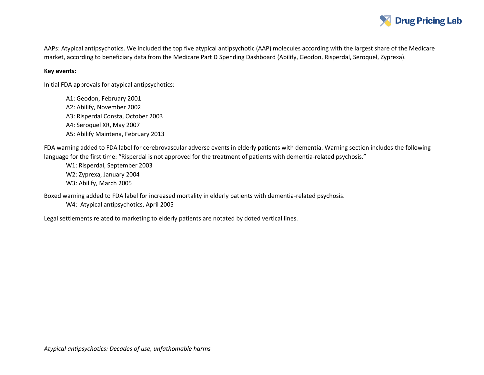

AAPs: Atypical antipsychotics. We included the top five atypical antipsychotic (AAP) molecules according with the largest share of the Medicare market, according to beneficiary data from the Medicare Part D Spending Dashboard (Abilify, Geodon, Risperdal, Seroquel, Zyprexa).

#### **Key events:**

Initial FDA approvals for atypical antipsychotics:

A1: Geodon, February 2001 A2: Abilify, November 2002 A3: Risperdal Consta, October 2003 A4: Seroquel XR, May 2007 A5: Abilify Maintena, February 2013

FDA warning added to FDA label for cerebrovascular adverse events in elderly patients with dementia. Warning section includes the following language for the first time: "Risperdal is not approved for the treatment of patients with dementia-related psychosis."

W1: Risperdal, September 2003 W2: Zyprexa, January 2004 W3: Abilify, March 2005

Boxed warning added to FDA label for increased mortality in elderly patients with dementia-related psychosis.

W4: Atypical antipsychotics, April 2005

Legal settlements related to marketing to elderly patients are notated by doted vertical lines.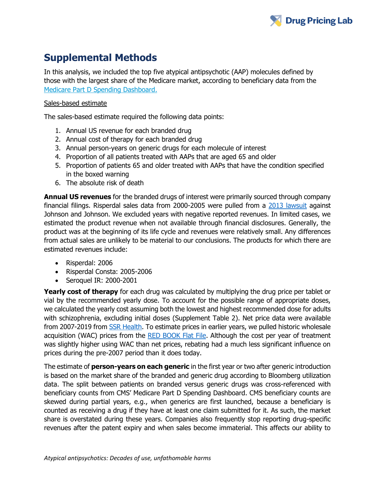

## **Supplemental Methods**

In this analysis, we included the top five atypical antipsychotic (AAP) molecules defined by those with the largest share of the Medicare market, according to beneficiary data from the [Medicare Part D Spending Dashboard.](https://data.cms.gov/summary-statistics-on-use-and-payments/medicare-medicaid-spending-by-drug/medicare-part-d-spending-by-drug/data)

#### Sales-based estimate

The sales-based estimate required the following data points:

- 1. Annual US revenue for each branded drug
- 2. Annual cost of therapy for each branded drug
- 3. Annual person-years on generic drugs for each molecule of interest
- 4. Proportion of all patients treated with AAPs that are aged 65 and older
- 5. Proportion of patients 65 and older treated with AAPs that have the condition specified in the boxed warning
- 6. The absolute risk of death

**Annual US revenues** for the branded drugs of interest were primarily sourced through company financial filings. Risperdal sales data from 2000-2005 were pulled from a [2013 lawsuit](https://www.justice.gov/sites/default/files/opa/legacy/2013/11/04/janssen-info.pdf) against Johnson and Johnson. We excluded years with negative reported revenues. In limited cases, we estimated the product revenue when not available through financial disclosures. Generally, the product was at the beginning of its life cycle and revenues were relatively small. Any differences from actual sales are unlikely to be material to our conclusions. The products for which there are estimated revenues include:

- Risperdal: 2006
- Risperdal Consta: 2005-2006
- Seroquel IR: 2000-2001

**Yearly cost of therapy** for each drug was calculated by multiplying the drug price per tablet or vial by the recommended yearly dose. To account for the possible range of appropriate doses, we calculated the yearly cost assuming both the lowest and highest recommended dose for adults with schizophrenia, excluding initial doses (Supplement Table 2). Net price data were available from 2007-2019 from [SSR Health.](https://www.ssrhealth.com/dataset/) To estimate prices in earlier years, we pulled historic wholesale acquisition (WAC) prices from the [RED BOOK Flat File.](https://www.ibm.com/downloads/cas/BJ2MV57V) Although the cost per year of treatment was slightly higher using WAC than net prices, rebating had a much less significant influence on prices during the pre-2007 period than it does today.

The estimate of **person-years on each generic** in the first year or two after generic introduction is based on the market share of the branded and generic drug according to Bloomberg utilization data. The split between patients on branded versus generic drugs was cross-referenced with beneficiary counts from CMS' Medicare Part D Spending Dashboard. CMS beneficiary counts are skewed during partial years, e.g., when generics are first launched, because a beneficiary is counted as receiving a drug if they have at least one claim submitted for it. As such, the market share is overstated during these years. Companies also frequently stop reporting drug-specific revenues after the patent expiry and when sales become immaterial. This affects our ability to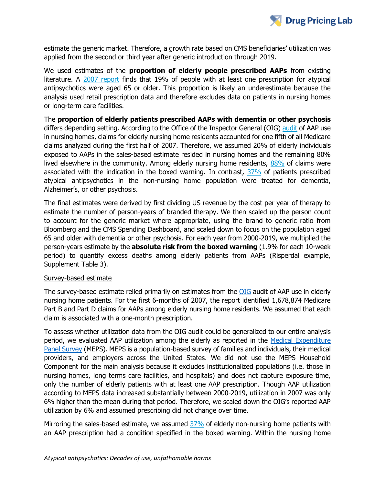

estimate the generic market. Therefore, a growth rate based on CMS beneficiaries' utilization was applied from the second or third year after generic introduction through 2019.

We used estimates of the **proportion of elderly people prescribed AAPs** from existing literature. A [2007 report](https://www.ncbi.nlm.nih.gov/pmc/articles/PMC2695730/) finds that 19% of people with at least one prescription for atypical antipsychotics were aged 65 or older. This proportion is likely an underestimate because the analysis used retail prescription data and therefore excludes data on patients in nursing homes or long-term care facilities.

The **proportion of elderly patients prescribed AAPs with dementia or other psychosis** differs depending setting. According to the Office of the Inspector General (OIG) [audit](https://oig.hhs.gov/oei/reports/oei-07-08-00150.asp) of AAP use in nursing homes, claims for elderly nursing home residents accounted for one fifth of all Medicare claims analyzed during the first half of 2007. Therefore, we assumed 20% of elderly individuals exposed to AAPs in the sales-based estimate resided in nursing homes and the remaining 80% lived elsewhere in the community. Among elderly nursing home residents, [88%](https://oig.hhs.gov/oei/reports/oei-07-08-00150.asp) of claims were associated with the indication in the boxed warning. In contrast,  $37\%$  of patients prescribed atypical antipsychotics in the non-nursing home population were treated for dementia, Alzheimer's, or other psychosis.

The final estimates were derived by first dividing US revenue by the cost per year of therapy to estimate the number of person-years of branded therapy. We then scaled up the person count to account for the generic market where appropriate, using the brand to generic ratio from Bloomberg and the CMS Spending Dashboard, and scaled down to focus on the population aged 65 and older with dementia or other psychosis. For each year from 2000-2019, we multiplied the person-years estimate by the **absolute risk from the boxed warning** (1.9% for each 10-week period) to quantify excess deaths among elderly patients from AAPs (Risperdal example, Supplement Table 3).

#### Survey-based estimate

The survey-based estimate relied primarily on estimates from the [OIG](https://oig.hhs.gov/oei/reports/oei-07-08-00150.pdf) audit of AAP use in elderly nursing home patients. For the first 6-months of 2007, the report identified 1,678,874 Medicare Part B and Part D claims for AAPs among elderly nursing home residents. We assumed that each claim is associated with a one-month prescription.

To assess whether utilization data from the OIG audit could be generalized to our entire analysis period, we evaluated AAP utilization among the elderly as reported in the [Medical Expenditure](https://meps.ahrq.gov/mepsweb/about_meps/survey_back.jsp)  [Panel Survey](https://meps.ahrq.gov/mepsweb/about_meps/survey_back.jsp) (MEPS). MEPS is a population-based survey of families and individuals, their medical providers, and employers across the United States. We did not use the MEPS Household Component for the main analysis because it excludes institutionalized populations (i.e. those in nursing homes, long terms care facilities, and hospitals) and does not capture exposure time, only the number of elderly patients with at least one AAP prescription. Though AAP utilization according to MEPS data increased substantially between 2000-2019, utilization in 2007 was only 6% higher than the mean during that period. Therefore, we scaled down the OIG's reported AAP utilization by 6% and assumed prescribing did not change over time.

Mirroring the sales-based estimate, we assumed [37%](https://www.ncbi.nlm.nih.gov/pmc/articles/PMC2695730/) of elderly non-nursing home patients with an AAP prescription had a condition specified in the boxed warning. Within the nursing home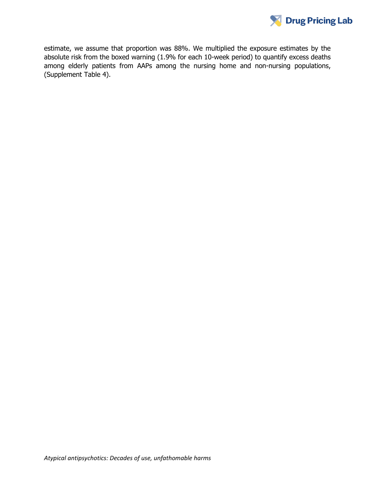

estimate, we assume that proportion was 88%. We multiplied the exposure estimates by the absolute risk from the boxed warning (1.9% for each 10-week period) to quantify excess deaths among elderly patients from AAPs among the nursing home and non-nursing populations, (Supplement Table 4).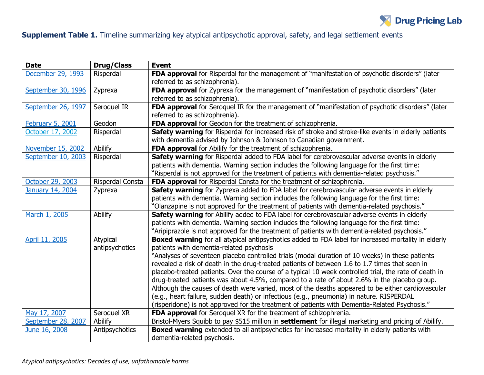

## **Supplement Table 1.** Timeline summarizing key atypical antipsychotic approval, safety, and legal settlement events

| <b>Date</b>        | <b>Drug/Class</b>          | <b>Event</b>                                                                                                                                                                                                                                                                                                                                                                                                                                                                                                                                                                                                                                                                                                                                                                                                                                                           |
|--------------------|----------------------------|------------------------------------------------------------------------------------------------------------------------------------------------------------------------------------------------------------------------------------------------------------------------------------------------------------------------------------------------------------------------------------------------------------------------------------------------------------------------------------------------------------------------------------------------------------------------------------------------------------------------------------------------------------------------------------------------------------------------------------------------------------------------------------------------------------------------------------------------------------------------|
| December 29, 1993  | Risperdal                  | FDA approval for Risperdal for the management of "manifestation of psychotic disorders" (later<br>referred to as schizophrenia).                                                                                                                                                                                                                                                                                                                                                                                                                                                                                                                                                                                                                                                                                                                                       |
| September 30, 1996 | Zyprexa                    | FDA approval for Zyprexa for the management of "manifestation of psychotic disorders" (later<br>referred to as schizophrenia).                                                                                                                                                                                                                                                                                                                                                                                                                                                                                                                                                                                                                                                                                                                                         |
| September 26, 1997 | Seroquel IR                | FDA approval for Seroquel IR for the management of "manifestation of psychotic disorders" (later<br>referred to as schizophrenia).                                                                                                                                                                                                                                                                                                                                                                                                                                                                                                                                                                                                                                                                                                                                     |
| February 5, 2001   | Geodon                     | FDA approval for Geodon for the treatment of schizophrenia.                                                                                                                                                                                                                                                                                                                                                                                                                                                                                                                                                                                                                                                                                                                                                                                                            |
| October 17, 2002   | Risperdal                  | Safety warning for Risperdal for increased risk of stroke and stroke-like events in elderly patients<br>with dementia advised by Johnson & Johnson to Canadian government.                                                                                                                                                                                                                                                                                                                                                                                                                                                                                                                                                                                                                                                                                             |
| November 15, 2002  | Abilify                    | FDA approval for Abilify for the treatment of schizophrenia.                                                                                                                                                                                                                                                                                                                                                                                                                                                                                                                                                                                                                                                                                                                                                                                                           |
| September 10, 2003 | Risperdal                  | Safety warning for Risperdal added to FDA label for cerebrovascular adverse events in elderly<br>patients with dementia. Warning section includes the following language for the first time:<br>"Risperdal is not approved for the treatment of patients with dementia-related psychosis."                                                                                                                                                                                                                                                                                                                                                                                                                                                                                                                                                                             |
| October 29, 2003   | Risperdal Consta           | FDA approval for Risperdal Consta for the treatment of schizophrenia.                                                                                                                                                                                                                                                                                                                                                                                                                                                                                                                                                                                                                                                                                                                                                                                                  |
| January 14, 2004   | Zyprexa                    | Safety warning for Zyprexa added to FDA label for cerebrovascular adverse events in elderly<br>patients with dementia. Warning section includes the following language for the first time:<br>"Olanzapine is not approved for the treatment of patients with dementia-related psychosis."                                                                                                                                                                                                                                                                                                                                                                                                                                                                                                                                                                              |
| March 1, 2005      | Abilify                    | Safety warning for Abilify added to FDA label for cerebrovascular adverse events in elderly<br>patients with dementia. Warning section includes the following language for the first time:<br>"Aripiprazole is not approved for the treatment of patients with dementia-related psychosis."                                                                                                                                                                                                                                                                                                                                                                                                                                                                                                                                                                            |
| April 11, 2005     | Atypical<br>antipsychotics | <b>Boxed warning</b> for all atypical antipsychotics added to FDA label for increased mortality in elderly<br>patients with dementia-related psychosis<br>"Analyses of seventeen placebo controlled trials (modal duration of 10 weeks) in these patients<br>revealed a risk of death in the drug-treated patients of between 1.6 to 1.7 times that seen in<br>placebo-treated patients. Over the course of a typical 10 week controlled trial, the rate of death in<br>drug-treated patients was about 4.5%, compared to a rate of about 2.6% in the placebo group.<br>Although the causes of death were varied, most of the deaths appeared to be either cardiovascular<br>(e.g., heart failure, sudden death) or infectious (e.g., pneumonia) in nature. RISPERDAL<br>(risperidone) is not approved for the treatment of patients with Dementia-Related Psychosis." |
| May 17, 2007       | Seroquel XR                | FDA approval for Seroquel XR for the treatment of schizophrenia.                                                                                                                                                                                                                                                                                                                                                                                                                                                                                                                                                                                                                                                                                                                                                                                                       |
| September 28, 2007 | Abilify                    | Bristol-Myers Squibb to pay \$515 million in settlement for illegal marketing and pricing of Abilify.                                                                                                                                                                                                                                                                                                                                                                                                                                                                                                                                                                                                                                                                                                                                                                  |
| June 16, 2008      | Antipsychotics             | <b>Boxed warning</b> extended to all antipsychotics for increased mortality in elderly patients with<br>dementia-related psychosis.                                                                                                                                                                                                                                                                                                                                                                                                                                                                                                                                                                                                                                                                                                                                    |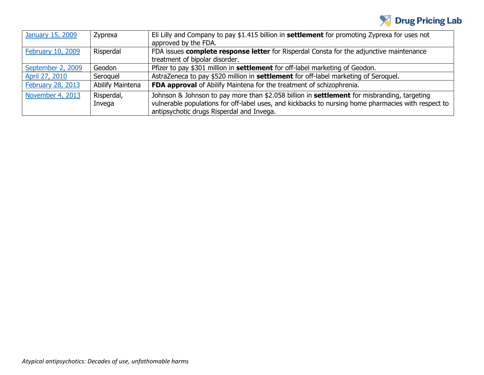

| <b>January 15, 2009</b> | Zyprexa                 | Eli Lilly and Company to pay \$1.415 billion in settlement for promoting Zyprexa for uses not       |
|-------------------------|-------------------------|-----------------------------------------------------------------------------------------------------|
|                         |                         | approved by the FDA.                                                                                |
| February 10, 2009       | Risperdal               | FDA issues complete response letter for Risperdal Consta for the adjunctive maintenance             |
|                         |                         | treatment of bipolar disorder.                                                                      |
| September 2, 2009       | Geodon                  | Pfizer to pay \$301 million in settlement for off-label marketing of Geodon.                        |
| April 27, 2010          | Seroquel                | AstraZeneca to pay \$520 million in settlement for off-label marketing of Seroquel.                 |
| February 28, 2013       | <b>Abilify Maintena</b> | FDA approval of Abilify Maintena for the treatment of schizophrenia.                                |
| November 4, 2013        | Risperdal,              | Johnson & Johnson to pay more than \$2.058 billion in settlement for misbranding, targeting         |
|                         | Invega                  | vulnerable populations for off-label uses, and kickbacks to nursing home pharmacies with respect to |
|                         |                         | antipsychotic drugs Risperdal and Invega.                                                           |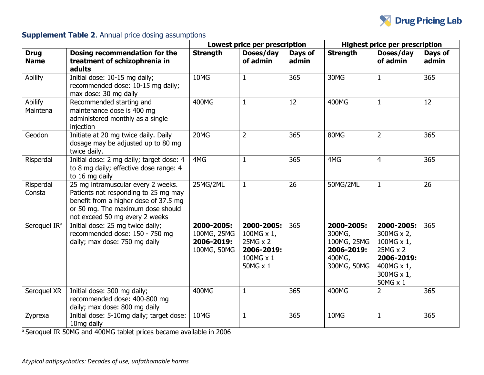

### **Supplement Table 2.** Annual price dosing assumptions

|                            |                                                                                                                                                                                            |                                                        | Lowest price per prescription                                               |                  | <b>Highest price per prescription</b>                                      |                                                                                                          |                  |
|----------------------------|--------------------------------------------------------------------------------------------------------------------------------------------------------------------------------------------|--------------------------------------------------------|-----------------------------------------------------------------------------|------------------|----------------------------------------------------------------------------|----------------------------------------------------------------------------------------------------------|------------------|
| <b>Drug</b><br><b>Name</b> | Dosing recommendation for the<br>treatment of schizophrenia in<br>adults                                                                                                                   | <b>Strength</b>                                        | Doses/day<br>of admin                                                       | Days of<br>admin | <b>Strength</b>                                                            | Doses/day<br>of admin                                                                                    | Days of<br>admin |
| Abilify                    | Initial dose: 10-15 mg daily;<br>recommended dose: 10-15 mg daily;<br>max dose: 30 mg daily                                                                                                | 10MG                                                   | $\mathbf{1}$                                                                | 365              | 30MG                                                                       | $\mathbf{1}$                                                                                             | 365              |
| Abilify<br>Maintena        | Recommended starting and<br>maintenance dose is 400 mg<br>administered monthly as a single<br>injection                                                                                    | 400MG                                                  | $\mathbf{1}$                                                                | 12               | 400MG                                                                      | $\mathbf{1}$                                                                                             | 12               |
| Geodon                     | Initiate at 20 mg twice daily. Daily<br>dosage may be adjusted up to 80 mg<br>twice daily.                                                                                                 | 20MG                                                   | $\overline{2}$                                                              | 365              | 80MG                                                                       | $\overline{2}$                                                                                           | 365              |
| Risperdal                  | Initial dose: 2 mg daily; target dose: 4<br>to 8 mg daily; effective dose range: 4<br>to 16 mg daily                                                                                       | 4MG                                                    | $\mathbf{1}$                                                                | 365              | 4MG                                                                        | 4                                                                                                        | 365              |
| Risperdal<br>Consta        | 25 mg intramuscular every 2 weeks.<br>Patients not responding to 25 mg may<br>benefit from a higher dose of 37.5 mg<br>or 50 mg. The maximum dose should<br>not exceed 50 mg every 2 weeks | 25MG/2ML                                               | $\mathbf{1}$                                                                | 26               | 50MG/2ML                                                                   | $\mathbf{1}$                                                                                             | 26               |
| Seroquel IR <sup>a</sup>   | Initial dose: 25 mg twice daily;<br>recommended dose: 150 - 750 mg<br>daily; max dose: 750 mg daily                                                                                        | 2000-2005:<br>100MG, 25MG<br>2006-2019:<br>100MG, 50MG | 2000-2005:<br>100MG x 1,<br>25MG x 2<br>2006-2019:<br>100MG x 1<br>50MG x 1 | 365              | 2000-2005:<br>300MG,<br>100MG, 25MG<br>2006-2019:<br>400MG,<br>300MG, 50MG | 2000-2005:<br>300MG x 2,<br>100MG x 1,<br>25MG x 2<br>2006-2019:<br>400MG x 1,<br>300MG x 1,<br>50MG x 1 | 365              |
| Seroquel XR                | Initial dose: 300 mg daily;<br>recommended dose: 400-800 mg<br>daily; max dose: 800 mg daily                                                                                               | 400MG                                                  | $\mathbf{1}$                                                                | 365              | 400MG                                                                      | 2                                                                                                        | 365              |
| Zyprexa                    | Initial dose: 5-10mg daily; target dose:<br>10mg daily                                                                                                                                     | 10MG                                                   | $\mathbf{1}$                                                                | 365              | 10MG                                                                       | $\mathbf{1}$                                                                                             | 365              |

a Seroquel IR 50MG and 400MG tablet prices became available in 2006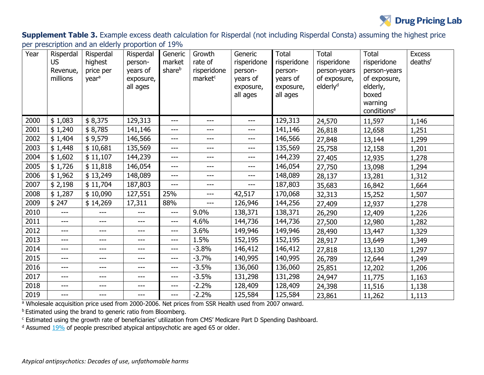

**Supplement Table 3.** Example excess death calculation for Risperdal (not including Risperdal Consta) assuming the highest price per prescription and an elderly proportion of 19%

| Year | Risperdal<br><b>US</b><br>Revenue,<br>millions | Risperdal<br>highest<br>price per<br>year <sup>a</sup> | Risperdal<br>person-<br>years of<br>exposure,<br>all ages | Generic<br>market<br>share <sup>b</sup> | Growth<br>rate of<br>risperidone<br>market <sup>c</sup> | Generic<br>risperidone<br>person-<br>years of<br>exposure,<br>all ages | <b>Total</b><br>risperidone<br>person-<br>years of<br>exposure,<br>all ages | <b>Total</b><br>risperidone<br>person-years<br>of exposure,<br>elderly <sup>d</sup> | <b>Total</b><br>risperidone<br>person-years<br>of exposure,<br>elderly,<br>boxed<br>warning<br>conditions <sup>e</sup> | <b>Excess</b><br>deathsf |
|------|------------------------------------------------|--------------------------------------------------------|-----------------------------------------------------------|-----------------------------------------|---------------------------------------------------------|------------------------------------------------------------------------|-----------------------------------------------------------------------------|-------------------------------------------------------------------------------------|------------------------------------------------------------------------------------------------------------------------|--------------------------|
| 2000 | \$1,083                                        | \$8,375                                                | 129,313                                                   | $---$                                   | ---                                                     | $---$                                                                  | 129,313                                                                     | 24,570                                                                              | 11,597                                                                                                                 | 1,146                    |
| 2001 | \$1,240                                        | \$8,785                                                | 141,146                                                   | ---                                     | ---                                                     | $---$                                                                  | 141,146                                                                     | 26,818                                                                              | 12,658                                                                                                                 | 1,251                    |
| 2002 | \$1,404                                        | \$9,579                                                | 146,566                                                   | ---                                     | ---                                                     | $---$                                                                  | 146,566                                                                     | 27,848                                                                              | 13,144                                                                                                                 | 1,299                    |
| 2003 | \$1,448                                        | \$10,681                                               | 135,569                                                   | ---                                     | ---                                                     | ---                                                                    | 135,569                                                                     | 25,758                                                                              | 12,158                                                                                                                 | 1,201                    |
| 2004 | \$1,602                                        | \$11,107                                               | 144,239                                                   | $---$                                   | $---$                                                   | $---$                                                                  | 144,239                                                                     | 27,405                                                                              | 12,935                                                                                                                 | 1,278                    |
| 2005 | \$1,726                                        | \$11,818                                               | 146,054                                                   | ---                                     | ---                                                     | $---$                                                                  | 146,054                                                                     | 27,750                                                                              | 13,098                                                                                                                 | 1,294                    |
| 2006 | \$1,962                                        | \$13,249                                               | 148,089                                                   | $---$                                   | ---                                                     | $---$                                                                  | 148,089                                                                     | 28,137                                                                              | 13,281                                                                                                                 | 1,312                    |
| 2007 | \$2,198                                        | \$11,704                                               | 187,803                                                   | $---$                                   | ---                                                     | $---$                                                                  | 187,803                                                                     | 35,683                                                                              | 16,842                                                                                                                 | 1,664                    |
| 2008 | \$1,287                                        | \$10,090                                               | 127,551                                                   | 25%                                     | $---$                                                   | 42,517                                                                 | 170,068                                                                     | 32,313                                                                              | 15,252                                                                                                                 | 1,507                    |
| 2009 | \$247                                          | \$14,269                                               | 17,311                                                    | 88%                                     | ---                                                     | 126,946                                                                | 144,256                                                                     | 27,409                                                                              | 12,937                                                                                                                 | 1,278                    |
| 2010 | ---                                            |                                                        | ---                                                       | ---                                     | 9.0%                                                    | 138,371                                                                | 138,371                                                                     | 26,290                                                                              | 12,409                                                                                                                 | 1,226                    |
| 2011 | $---$                                          | ---                                                    | ---                                                       | $---$                                   | 4.6%                                                    | 144,736                                                                | 144,736                                                                     | 27,500                                                                              | 12,980                                                                                                                 | 1,282                    |
| 2012 | $---$                                          | ---                                                    | $---$                                                     | ---                                     | 3.6%                                                    | 149,946                                                                | 149,946                                                                     | 28,490                                                                              | 13,447                                                                                                                 | 1,329                    |
| 2013 | $---$                                          | ---                                                    | ---                                                       | ---                                     | 1.5%                                                    | 152,195                                                                | 152,195                                                                     | 28,917                                                                              | 13,649                                                                                                                 | 1,349                    |
| 2014 | ---                                            | ---                                                    | ---                                                       | $---$                                   | $-3.8%$                                                 | 146,412                                                                | 146,412                                                                     | 27,818                                                                              | 13,130                                                                                                                 | 1,297                    |
| 2015 | $---$                                          | ---                                                    | $---$                                                     | $---$                                   | $-3.7%$                                                 | 140,995                                                                | 140,995                                                                     | 26,789                                                                              | 12,644                                                                                                                 | 1,249                    |
| 2016 | $---$                                          | ---                                                    | $---$                                                     | $---$                                   | $-3.5%$                                                 | 136,060                                                                | 136,060                                                                     | 25,851                                                                              | 12,202                                                                                                                 | 1,206                    |
| 2017 | ---                                            | ---                                                    | ---                                                       | $---$                                   | $-3.5%$                                                 | 131,298                                                                | 131,298                                                                     | 24,947                                                                              | 11,775                                                                                                                 | 1,163                    |
| 2018 | $---$                                          | ---                                                    | ---                                                       | ---                                     | $-2.2%$                                                 | 128,409                                                                | 128,409                                                                     | 24,398                                                                              | 11,516                                                                                                                 | 1,138                    |
| 2019 | $---$                                          | ---                                                    | ---                                                       | $---$                                   | $-2.2%$                                                 | 125,584                                                                | 125,584                                                                     | 23,861                                                                              | 11,262                                                                                                                 | 1,113                    |

<sup>a</sup> Wholesale acquisition price used from 2000-2006. Net prices from SSR Health used from 2007 onward.

**b** Estimated using the brand to generic ratio from Bloomberg.

<sup>c</sup> Estimated using the growth rate of beneficiaries' utilization from CMS' Medicare Part D Spending Dashboard.

 $d$  Assumed  $19\%$  of people prescribed atypical antipsychotic are aged 65 or older.